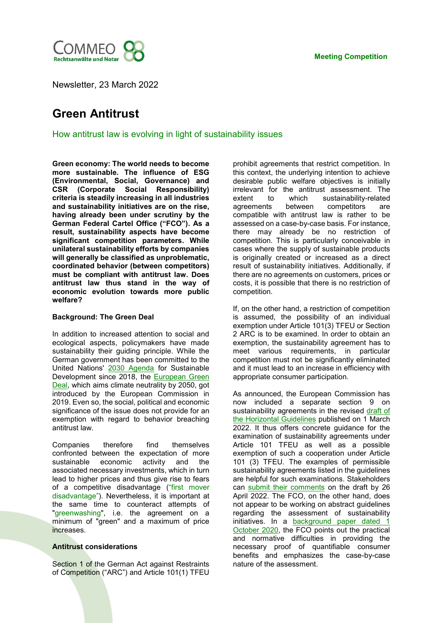

Newsletter, 23 March 2022

# **Green Antitrust**

How antitrust law is evolving in light of sustainability issues

**Green economy: The world needs to become more sustainable. The influence of ESG (Environmental, Social, Governance) and CSR (Corporate Social Responsibility) criteria is steadily increasing in all industries and sustainability initiatives are on the rise, having already been under scrutiny by the German Federal Cartel Office ("FCO"). As a result, sustainability aspects have become significant competition parameters. While unilateral sustainability efforts by companies will generally be classified as unproblematic, coordinated behavior (between competitors) must be compliant with antitrust law. Does antitrust law thus stand in the way of economic evolution towards more public welfare?** 

## **Background: The Green Deal**

In addition to increased attention to social and ecological aspects, policymakers have made sustainability their guiding principle. While the German government has been committed to the United Nations' [2030 Agenda](https://www.un.org/ga/search/view_doc.asp?symbol=A/RES/70/1&Lang=E) for Sustainable Development since 2018, the [European Green](https://ec.europa.eu/info/strategy/priorities-2019-2024/european-green-deal_en)  [Deal,](https://ec.europa.eu/info/strategy/priorities-2019-2024/european-green-deal_en) which aims climate neutrality by 2050, got introduced by the European Commission in 2019. Even so, the social, political and economic significance of the issue does not provide for an exemption with regard to behavior breaching antitrust law.

Companies therefore find themselves confronted between the expectation of more sustainable economic activity and the associated necessary investments, which in turn lead to higher prices and thus give rise to fears of a competitive disadvantage ("first mover disadvantage"). Nevertheless, it is important at the same time to counteract attempts of "greenwashing", i.e. the agreement on a minimum of "green" and a maximum of price increases.

## **Antitrust considerations**

Section 1 of the German Act against Restraints of Competition ("ARC") and Article 101(1) TFEU prohibit agreements that restrict competition. In this context, the underlying intention to achieve desirable public welfare objectives is initially irrelevant for the antitrust assessment. The extent to which sustainability-related agreements between competitors are compatible with antitrust law is rather to be assessed on a case-by-case basis. For instance, there may already be no restriction of competition. This is particularly conceivable in cases where the supply of sustainable products is originally created or increased as a direct result of sustainability initiatives. Additionally, if there are no agreements on customers, prices or costs, it is possible that there is no restriction of competition.

If, on the other hand, a restriction of competition is assumed, the possibility of an individual exemption under Article 101(3) TFEU or Section 2 ARC is to be examined. In order to obtain an exemption, the sustainability agreement has to meet various requirements, in particular competition must not be significantly eliminated and it must lead to an increase in efficiency with appropriate consumer participation.

As announced, the European Commission has now included a separate section 9 on sustainability agreements in the revised [draft of](https://ec.europa.eu/competition-policy/system/files/2022-03/draft_revised_horizontal_guidelines_2022.pdf)  [the Horizontal Guidelines](https://ec.europa.eu/competition-policy/system/files/2022-03/draft_revised_horizontal_guidelines_2022.pdf) published on 1 March 2022. It thus offers concrete guidance for the examination of sustainability agreements under Article 101 TFEU as well as a possible exemption of such a cooperation under Article 101 (3) TFEU. The examples of permissible sustainability agreements listed in the guidelines are helpful for such examinations. Stakeholders can [submit their comments](https://ec.europa.eu/competition-policy/public-consultations/2022-hbers_en) on the draft by 26 April 2022. The FCO, on the other hand, does not appear to be working on abstract guidelines regarding the assessment of sustainability initiatives. In a background paper dated 1 [October 2020,](https://www.bundeskartellamt.de/SharedDocs/Publikation/EN/Diskussions_Hintergrundpapiere/2020/Working_Group_on_Competition_Law_2020.pdf?__blob=publicationFile&v=2) the FCO points out the practical and normative difficulties in providing the necessary proof of quantifiable consumer benefits and emphasizes the case-by-case nature of the assessment.